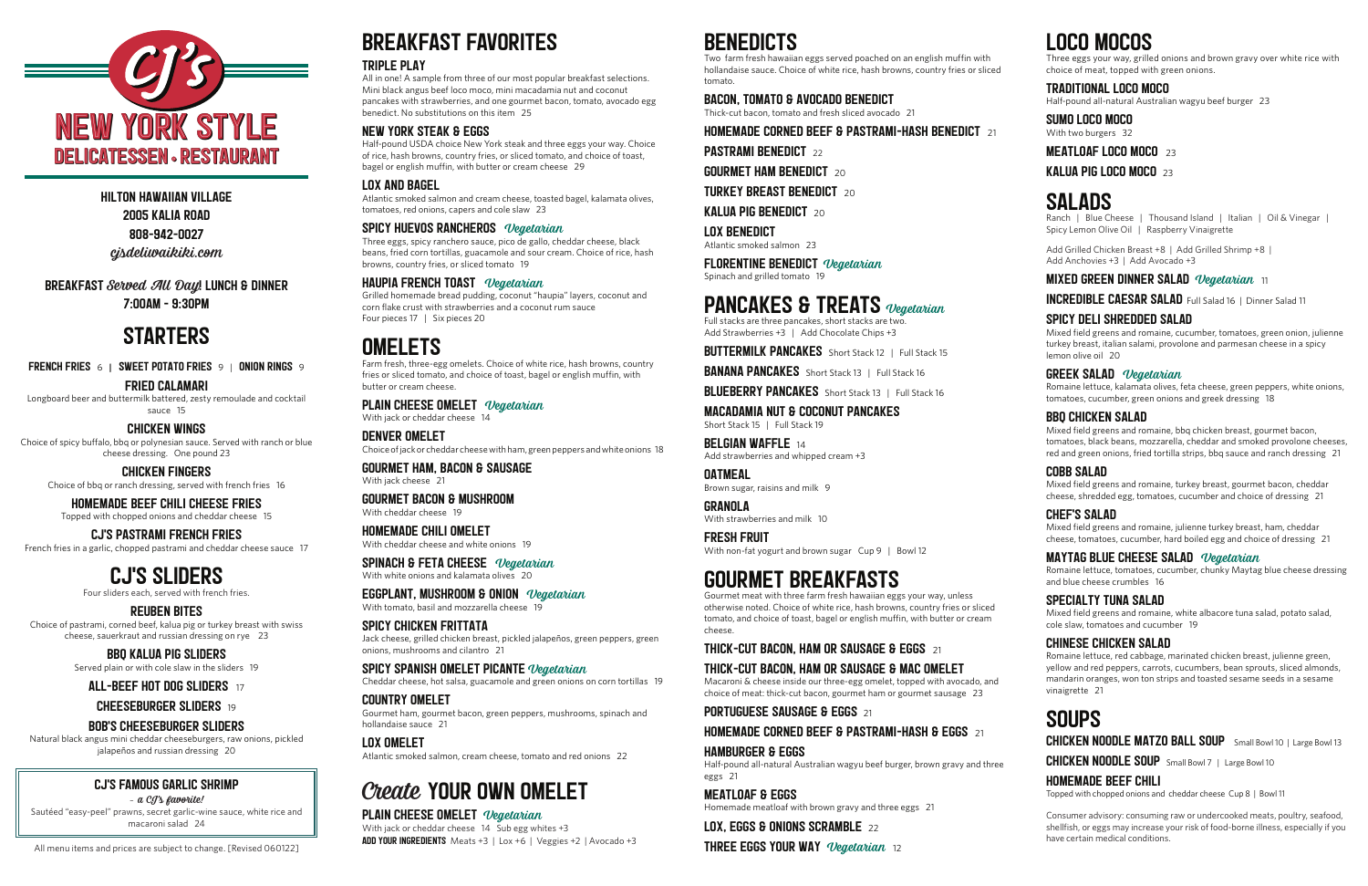FRENCH FRIES 6 **|** SWEET POTATO FRIES 9 | ONION RINGS 9

#### FRIED CALAMARI

Longboard beer and buttermilk battered, zesty remoulade and cocktail sauce 15

#### CHICKEN WINGS

Choice of spicy buffalo, bbq or polynesian sauce. Served with ranch or blue cheese dressing. One pound 23

CHICKEN FINGERS Choice of bbq or ranch dressing, served with french fries 16

## HOMEMADE BEEF CHILI CHEESE FRIES

Topped with chopped onions and cheddar cheese 15

## CJ'S PASTRAMI FRENCH FRIES

French fries in a garlic, chopped pastrami and cheddar cheese sauce 17

## CJ'S SLIDERS

Four sliders each, served with french fries.

#### REUBEN BITES

Choice of pastrami, corned beef, kalua pig or turkey breast with swiss cheese, sauerkraut and russian dressing on rye 23

> BBQ KALUA PIG SLIDERS Served plain or with cole slaw in the sliders 19

ALL-BEEF HOT DOG SLIDERS<sup>17</sup>

#### **CHEESEBURGER SLIDERS** 19

FLORENTINE BENEDICT Vegetarian Spinach and grilled tomato 19

## PANCAKES & TREATS *Vegetarian*

## BOB'S CHEESEBURGER SLIDERS

Natural black angus mini cheddar cheeseburgers, raw onions, pickled jalapeños and russian dressing 20

MACADAMIA NUT & COCONUT PANCAKES Short Stack 15 | Full Stack 19

#### CJ'S FAMOUS GARLIC SHRIMP

– a CJ's favorite!

**BELGIAN WAFFLE**  $14$ Add strawberries and whipped cream +3

**OATMEAL** Brown sugar, raisins and milk 9

Sautéed "easy-peel" prawns, secret garlic-wine sauce, white rice and macaroni salad 24

FRESH FRUIT With non-fat yogurt and brown sugar Cup 9 | Bowl 12

All menu items and prices are subject to change. [Revised 060122]

# BENEDICTS

Two farm fresh hawaiian eggs served poached on an english muffin with hollandaise sauce. Choice of white rice, hash browns, country fries or sliced tomato.

#### BACON, TOMATO & AVOCADO BENEDICT

Thick-cut bacon, tomato and fresh sliced avocado 21

HOMEMADE CORNED BEEF & PASTRAMI-HASH BENEDICT <sup>21</sup>

**PASTRAMI BENEDICT** 22

**GOURMET HAM BENEDICT**  $20$ 

**TURKEY BREAST BENEDICT** 20

KALUA PIG BENEDICT  $20$ 

LOX BENEDICT Atlantic smoked salmon 23 Ranch | Blue Cheese | Thousand Island | Italian | Oil & Vinegar | Spicy Lemon Olive Oil | Raspberry Vinaigrette

Full stacks are three pancakes, short stacks are two. Add Strawberries +3 | Add Chocolate Chips +3

**BUTTERMILK PANCAKES** Short Stack 12 | Full Stack 15

**BANANA PANCAKES** Short Stack 13 | Full Stack 16

**BLUEBERRY PANCAKES** Short Stack 13 | Full Stack 16

GRANOLA With strawberries and milk 10

## GOURMET BREAKFASTS

Gourmet meat with three farm fresh hawaiian eggs your way, unless otherwise noted. Choice of white rice, hash browns, country fries or sliced tomato, and choice of toast, bagel or english muffin, with butter or cream cheese.

#### THICK-CUT BACON, HAM OR SAUSAGE & EGGS  $21$

## THICK-CUT BACON, HAM OR SAUSAGE & MAC OMELET

Macaroni & cheese inside our three-egg omelet, topped with avocado, and choice of meat: thick-cut bacon, gourmet ham or gourmet sausage 23

#### **PORTUGUESE SAUSAGE & EGGS** 21

#### HOMEMADE CORNED BEEF & PASTRAMI-HASH & EGGS  $21$

HAMBURGER & EGGS

Half-pound all-natural Australian wagyu beef burger, brown gravy and three eggs 21

MEATLOAF & EGGS

Homemade meatloaf with brown gravy and three eggs 21

LOX, EGGS & ONIONS SCRAMBLE 22 **THREE EGGS YOUR WAY** Vegetarian 12

# LOCO MOCOS

Three eggs your way, grilled onions and brown gravy over white rice with choice of meat, topped with green onions.

#### TRADITIONAL LOCO MOCO

Half-pound all-natural Australian wagyu beef burger 23

## SUMO LOCO MOCO

With two burgers 32

#### MEATLOAF LOCO MOCO<sup>23</sup>

KALUA PIG LOCO MOCO $23$ 

## SALADS

Add Grilled Chicken Breast +8 | Add Grilled Shrimp +8 | Add Anchovies +3 | Add Avocado +3

## **MIXED GREEN DINNER SALAD** Vegetarian 11

INCREDIBLE CAESAR SALAD Full Salad 16 | Dinner Salad 11

## SPICY DELI SHREDDED SALAD

#### EGGPLANT, MUSHROOM & ONION Vegetarian With tomato, basil and mozzarella cheese 19

Mixed field greens and romaine, cucumber, tomatoes, green onion, julienne turkey breast, italian salami, provolone and parmesan cheese in a spicy lemon olive oil 20

#### SPICY SPANISH OMELET PICANTE Vegetarian Cheddar cheese, hot salsa, guacamole and green onions on corn tortillas 19

#### GREEK SALAD Vegetarian

Romaine lettuce, kalamata olives, feta cheese, green peppers, white onions, tomatoes, cucumber, green onions and greek dressing 18

PLAIN CHEESE OMELET Vegetarian With jack or cheddar cheese  $14\overline{5}$ ub egg whites +3 ADD YOUR INGREDIENTS Meats +3 | Lox +6 | Veggies +2 | Avocado +3

#### BBQ CHICKEN SALAD

Mixed field greens and romaine, bbq chicken breast, gourmet bacon, tomatoes, black beans, mozzarella, cheddar and smoked provolone cheeses, red and green onions, fried tortilla strips, bbq sauce and ranch dressing 21

## COBB SALAD

Mixed field greens and romaine, turkey breast, gourmet bacon, cheddar cheese, shredded egg, tomatoes, cucumber and choice of dressing 21

#### CHEF'S SALAD

Mixed field greens and romaine, julienne turkey breast, ham, cheddar cheese, tomatoes, cucumber, hard boiled egg and choice of dressing 21

#### MAYTAG BLUE CHEESE SALAD Vegetarian

Romaine lettuce, tomatoes, cucumber, chunky Maytag blue cheese dressing and blue cheese crumbles 16

#### SPECIALTY TUNA SALAD

Mixed field greens and romaine, white albacore tuna salad, potato salad, cole slaw, tomatoes and cucumber 19

#### CHINESE CHICKEN SALAD

Romaine lettuce, red cabbage, marinated chicken breast, julienne green, yellow and red peppers, carrots, cucumbers, bean sprouts, sliced almonds, mandarin oranges, won ton strips and toasted sesame seeds in a sesame vinaigrette 21

## SOUPS

CHICKEN NOODLE MATZO BALL SOUP Small Bowl 10 | Large Bowl 13

CHICKEN NOODLE SOUP Small Bowl 7 | Large Bowl 10

## HOMEMADE BEEF CHILI

Topped with chopped onions and cheddar cheese Cup 8 | Bowl 11

Consumer advisory: consuming raw or undercooked meats, poultry, seafood, shellfish, or eggs may increase your risk of food-borne illness, especially if you have certain medical conditions.

HILTON HAWAIIAN VILLAGE 2005 KALIA ROAD 808-942-0027 cjsdeliwaikiki.com

BREAKFAST Served All Day! LUNCH & DINNER

7:00AM - 9:30PM

## **STARTERS**

BREAKFAST FAVORITES

#### TRIPLE PLAY

All in one! A sample from three of our most popular breakfast selections. Mini black angus beef loco moco, mini macadamia nut and coconut pancakes with strawberries, and one gourmet bacon, tomato, avocado egg benedict. No substitutions on this item 25

## NEW YORK STEAK & EGGS

Half-pound USDA choice New York steak and three eggs your way. Choice of rice, hash browns, country fries, or sliced tomato, and choice of toast, bagel or english muffin, with butter or cream cheese 29

#### LOX AND BAGEL

Atlantic smoked salmon and cream cheese, toasted bagel, kalamata olives, tomatoes, red onions, capers and cole slaw 23

#### SPICY HUEVOS RANCHEROS Vegetarian

Three eggs, spicy ranchero sauce, pico de gallo, cheddar cheese, black beans, fried corn tortillas, guacamole and sour cream. Choice of rice, hash browns, country fries, or sliced tomato 19

#### HAUPIA FRENCH TOAST Vegetarian

Grilled homemade bread pudding, coconut "haupia" layers, coconut and corn flake crust with strawberries and a coconut rum sauce Four pieces 17 | Six pieces 20

## **OMELETS**

Farm fresh, three-egg omelets. Choice of white rice, hash browns, country fries or sliced tomato, and choice of toast, bagel or english muffin, with butter or cream cheese.

## PLAIN CHEESE OMELET Vegetarian

With jack or cheddar cheese 14 DENVER OMELET Choice of jack or cheddar cheese with ham, green peppers and white onions 18

GOURMET HAM, BACON & SAUSAGE With jack cheese 21

GOURMET BACON & MUSHROOM With cheddar cheese 19

HOMEMADE CHILI OMELET With cheddar cheese and white onions 19

SPINACH & FETA CHEESE Vegetarian With white onions and kalamata olives 20

SPICY CHICKEN FRITTATA Jack cheese, grilled chicken breast, pickled jalapeños, green peppers, green onions, mushrooms and cilantro 21

COUNTRY OMELET Gourmet ham, gourmet bacon, green peppers, mushrooms, spinach and hollandaise sauce 21

LOX OMELET Atlantic smoked salmon, cream cheese, tomato and red onions 22

# Create YOUR OWN OMELET